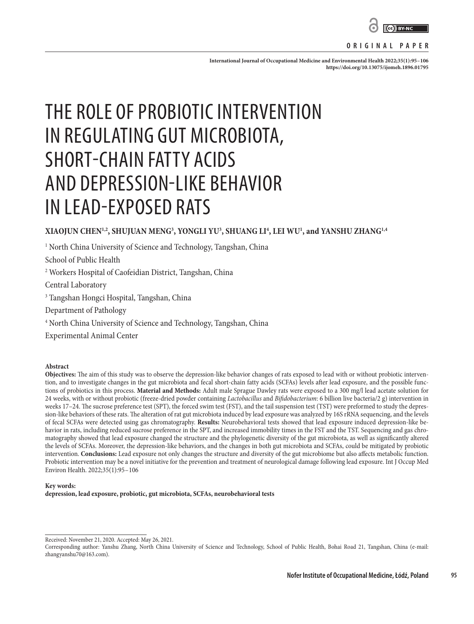

#### **ORIGINAL PAPER**

**International Journal of Occupational Medicine and Environmental Health 2022;35(1):95–106 <https://doi.org/10.13075/ijomeh.1896.01795>**

# THE ROLE OF PROBIOTIC INTERVENTION IN REGULATING GUT MICROBIOTA, SHORT-CHAIN FATTY ACIDS AND DEPRESSION-LIKE BEHAVIOR IN LEAD-EXPOSED RATS

# **XIAOJUN CHEN1,2, SHUJUAN MENG3 , YONGLI YU3 , SHUANG LI4 , LEI WU1 , and YANSHU ZHANG1,4**

 $^{\rm 1}$  North China University of Science and Technology, Tangshan, China

School of Public Health

2 Workers Hospital of Caofeidian District, Tangshan, China

Central Laboratory

3 Tangshan Hongci Hospital, Tangshan, China

Department of Pathology

4 North China University of Science and Technology, Tangshan, China

Experimental Animal Center

#### **Abstract**

**Objectives:** The aim of this study was to observe the depression-like behavior changes of rats exposed to lead with or without probiotic intervention, and to investigate changes in the gut microbiota and fecal short-chain fatty acids (SCFAs) levels after lead exposure, and the possible functions of probiotics in this process. **Material and Methods:** Adult male Sprague Dawley rats were exposed to a 300 mg/l lead acetate solution for 24 weeks, with or without probiotic (freeze-dried powder containing *Lactobacillus* and *Bifidobacterium*: 6 billion live bacteria/2 g) intervention in weeks 17–24. The sucrose preference test (SPT), the forced swim test (FST), and the tail suspension test (TST) were preformed to study the depression-like behaviors of these rats. The alteration of rat gut microbiota induced by lead exposure was analyzed by 16S rRNA sequencing, and the levels of fecal SCFAs were detected using gas chromatography. **Results:** Neurobehavioral tests showed that lead exposure induced depression-like behavior in rats, including reduced sucrose preference in the SPT, and increased immobility times in the FST and the TST. Sequencing and gas chromatography showed that lead exposure changed the structure and the phylogenetic diversity of the gut microbiota, as well as significantly altered the levels of SCFAs. Moreover, the depression-like behaviors, and the changes in both gut microbiota and SCFAs, could be mitigated by probiotic intervention. **Conclusions:** Lead exposure not only changes the structure and diversity of the gut microbiome but also affects metabolic function. Probiotic intervention may be a novel initiative for the prevention and treatment of neurological damage following lead exposure. Int J Occup Med Environ Health. 2022;35(1):95–106

#### **Key words: depression, lead exposure, probiotic, gut microbiota, SCFAs, neurobehavioral tests**

Received: November 21, 2020. Accepted: May 26, 2021.

Corresponding author: Yanshu Zhang, North China University of Science and Technology, School of Public Health, Bohai Road 21, Tangshan, China (e-mail: zhangyanshu70@163.com).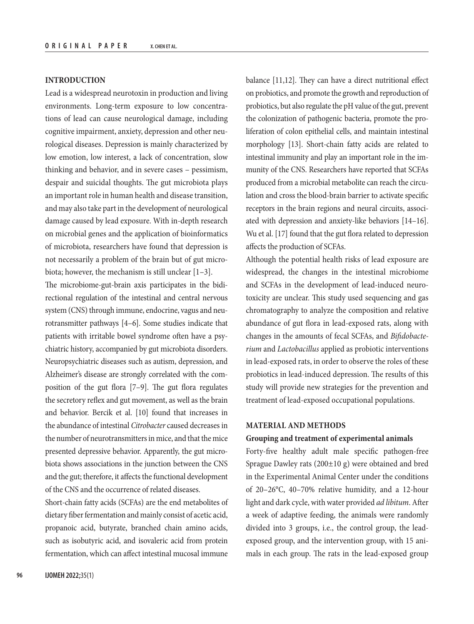## **INTRODUCTION**

Lead is a widespread neurotoxin in production and living environments. Long-term exposure to low concentrations of lead can cause neurological damage, including cognitive impairment, anxiety, depression and other neurological diseases. Depression is mainly characterized by low emotion, low interest, a lack of concentration, slow thinking and behavior, and in severe cases – pessimism, despair and suicidal thoughts. The gut microbiota plays an important role in human health and disease transition, and may also take part in the development of neurological damage caused by lead exposure. With in-depth research on microbial genes and the application of bioinformatics of microbiota, researchers have found that depression is not necessarily a problem of the brain but of gut microbiota; however, the mechanism is still unclear [1–3].

The microbiome-gut-brain axis participates in the bidirectional regulation of the intestinal and central nervous system (CNS) through immune, endocrine, vagus and neurotransmitter pathways [4–6]. Some studies indicate that patients with irritable bowel syndrome often have a psychiatric history, accompanied by gut microbiota disorders. Neuropsychiatric diseases such as autism, depression, and Alzheimer's disease are strongly correlated with the composition of the gut flora [7–9]. The gut flora regulates the secretory reflex and gut movement, as well as the brain and behavior. Bercik et al. [10] found that increases in the abundance of intestinal *Citrobacter* caused decreases in the number of neurotransmitters in mice, and that the mice presented depressive behavior. Apparently, the gut microbiota shows associations in the junction between the CNS and the gut; therefore, it affects the functional development of the CNS and the occurrence of related diseases.

Short-chain fatty acids (SCFAs) are the end metabolites of dietary fiber fermentation and mainly consist of acetic acid, propanoic acid, butyrate, branched chain amino acids, such as isobutyric acid, and isovaleric acid from protein fermentation, which can affect intestinal mucosal immune balance [11,12]. They can have a direct nutritional effect on probiotics, and promote the growth and reproduction of probiotics, but also regulate the pH value of the gut, prevent the colonization of pathogenic bacteria, promote the proliferation of colon epithelial cells, and maintain intestinal morphology [13]. Short-chain fatty acids are related to intestinal immunity and play an important role in the immunity of the CNS. Researchers have reported that SCFAs produced from a microbial metabolite can reach the circulation and cross the blood-brain barrier to activate specific receptors in the brain regions and neural circuits, associated with depression and anxiety-like behaviors [14–16]. Wu et al. [17] found that the gut flora related to depression affects the production of SCFAs.

Although the potential health risks of lead exposure are widespread, the changes in the intestinal microbiome and SCFAs in the development of lead-induced neurotoxicity are unclear. This study used sequencing and gas chromatography to analyze the composition and relative abundance of gut flora in lead-exposed rats, along with changes in the amounts of fecal SCFAs, and *Bifidobacterium* and *Lactobacillus* applied as probiotic interventions in lead-exposed rats, in order to observe the roles of these probiotics in lead-induced depression. The results of this study will provide new strategies for the prevention and treatment of lead-exposed occupational populations.

#### **MATERIAL AND METHODS**

#### **Grouping and treatment of experimental animals**

Forty-five healthy adult male specific pathogen-free Sprague Dawley rats (200±10 g) were obtained and bred in the Experimental Animal Center under the conditions of 20–26°C, 40–70% relative humidity, and a 12-hour light and dark cycle, with water provided *ad libitum*. After a week of adaptive feeding, the animals were randomly divided into 3 groups, i.e., the control group, the leadexposed group, and the intervention group, with 15 animals in each group. The rats in the lead-exposed group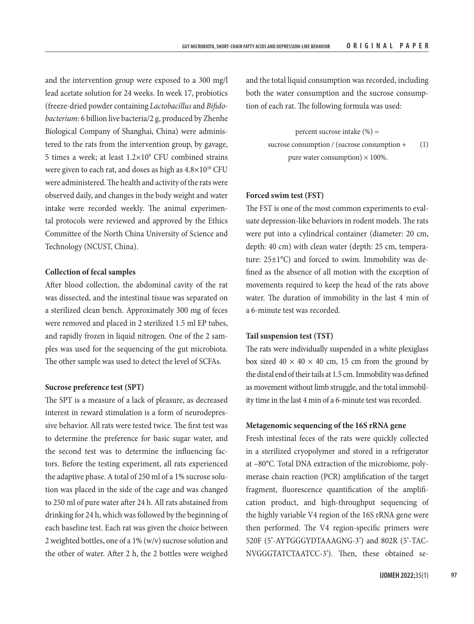and the intervention group were exposed to a 300 mg/l lead acetate solution for 24 weeks. In week 17, probiotics (freeze-dried powder containing *Lactobacillus* and *Bifidobacterium*: 6 billion live bacteria/2 g, produced by Zhenhe Biological Company of Shanghai, China) were administered to the rats from the intervention group, by gavage, 5 times a week; at least  $1.2 \times 10^9$  CFU combined strains were given to each rat, and doses as high as  $4.8\times10^{10}$  CFU were administered. The health and activity of the rats were observed daily, and changes in the body weight and water intake were recorded weekly. The animal experimental protocols were reviewed and approved by the Ethics Committee of the North China University of Science and Technology (NCUST, China).

#### **Collection of fecal samples**

After blood collection, the abdominal cavity of the rat was dissected, and the intestinal tissue was separated on a sterilized clean bench. Approximately 300 mg of feces were removed and placed in 2 sterilized 1.5 ml EP tubes, and rapidly frozen in liquid nitrogen. One of the 2 samples was used for the sequencing of the gut microbiota. The other sample was used to detect the level of SCFAs.

## **Sucrose preference test (SPT)**

The SPT is a measure of a lack of pleasure, as decreased interest in reward stimulation is a form of neurodepressive behavior. All rats were tested twice. The first test was to determine the preference for basic sugar water, and the second test was to determine the influencing factors. Before the testing experiment, all rats experienced the adaptive phase. A total of 250 ml of a 1% sucrose solution was placed in the side of the cage and was changed to 250 ml of pure water after 24 h. All rats abstained from drinking for 24 h, which was followed by the beginning of each baseline test. Each rat was given the choice between 2 weighted bottles, one of a 1% (w/v) sucrose solution and the other of water. After 2 h, the 2 bottles were weighed

and the total liquid consumption was recorded, including both the water consumption and the sucrose consumption of each rat. The following formula was used:

> percent sucrose intake  $(\%) =$ sucrose consumption / (sucrose consumption + (1) pure water consumption)  $\times$  100%.

## **Forced swim test (FST)**

The FST is one of the most common experiments to evaluate depression-like behaviors in rodent models. The rats were put into a cylindrical container (diameter: 20 cm, depth: 40 cm) with clean water (depth: 25 cm, temperature:  $25\pm1\textdegree C$ ) and forced to swim. Immobility was defined as the absence of all motion with the exception of movements required to keep the head of the rats above water. The duration of immobility in the last 4 min of a 6-minute test was recorded.

### **Tail suspension test (TST)**

The rats were individually suspended in a white plexiglass box sized  $40 \times 40 \times 40$  cm, 15 cm from the ground by the distal end of their tails at 1.5 cm. Immobility was defined as movement without limb struggle, and the total immobility time in the last 4 min of a 6-minute test was recorded.

#### **Metagenomic sequencing of the 16S rRNA gene**

Fresh intestinal feces of the rats were quickly collected in a sterilized cryopolymer and stored in a refrigerator at –80°C. Total DNA extraction of the microbiome, polymerase chain reaction (PCR) amplification of the target fragment, fluorescence quantification of the amplification product, and high-throughput sequencing of the highly variable V4 region of the 16S rRNA gene were then performed. The V4 region-specific primers were 520F (5'-AYTGGGYDTAAAGNG-3') and 802R (5'-TAC-NVGGGTATCTAATCC-3'). Then, these obtained se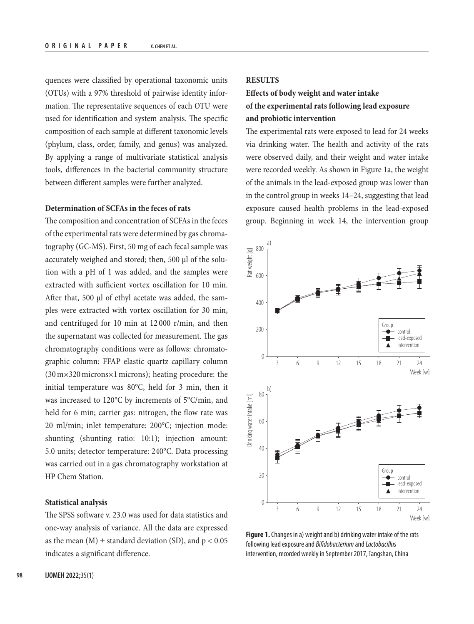quences were classified by operational taxonomic units (OTUs) with a 97% threshold of pairwise identity information. The representative sequences of each OTU were used for identification and system analysis. The specific composition of each sample at different taxonomic levels (phylum, class, order, family, and genus) was analyzed. By applying a range of multivariate statistical analysis tools, differences in the bacterial community structure between different samples were further analyzed.

## **Determination of SCFAs in the feces of rats**

The composition and concentration of SCFAs in the feces of the experimental rats were determined by gas chromatography (GC-MS). First, 50 mg of each fecal sample was accurately weighed and stored; then, 500 µl of the solution with a pH of 1 was added, and the samples were extracted with sufficient vortex oscillation for 10 min. After that, 500 µl of ethyl acetate was added, the samples were extracted with vortex oscillation for 30 min, and centrifuged for 10 min at 12 000 r/min, and then the supernatant was collected for measurement. The gas chromatography conditions were as follows: chromatographic column: FFAP elastic quartz capillary column (30m×320microns×1microns); heating procedure: the initial temperature was 80°C, held for 3 min, then it was increased to 120°C by increments of 5°C/min, and held for 6 min; carrier gas: nitrogen, the flow rate was 20 ml/min; inlet temperature: 200°C; injection mode: shunting (shunting ratio: 10:1); injection amount: 5.0 units; detector temperature: 240°C. Data processing was carried out in a gas chromatography workstation at HP Chem Station.

## **Statistical analysis**

The SPSS software v. 23.0 was used for data statistics and one-way analysis of variance. All the data are expressed as the mean  $(M) \pm$  standard deviation (SD), and  $p < 0.05$ indicates a significant difference.

## **RESULTS**

# **Effects of body weight and water intake of the experimental rats following lead exposure and probiotic intervention**

The experimental rats were exposed to lead for 24 weeks via drinking water. The health and activity of the rats were observed daily, and their weight and water intake were recorded weekly. As shown in Figure 1a, the weight of the animals in the lead-exposed group was lower than in the control group in weeks 14–24, suggesting that lead exposure caused health problems in the lead-exposed group. Beginning in week 14, the intervention group



**Figure 1.** Changes in a) weight and b) drinking water intake of the rats following lead exposure and *Bifidobacterium* and *Lactobacillus* intervention, recorded weekly in September 2017, Tangshan, China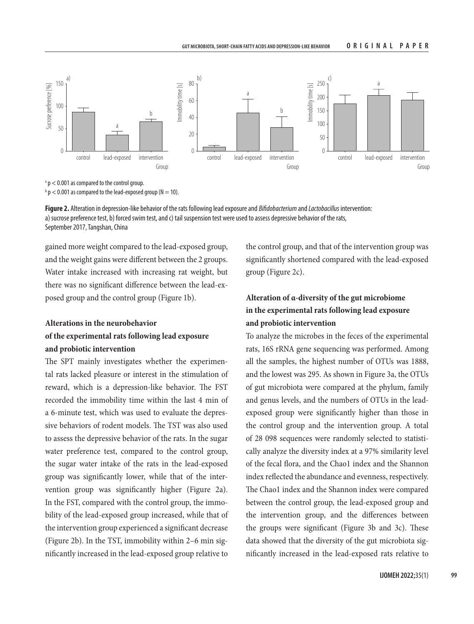

a p < 0.001 as compared to the control group.

 $^{\rm b}$  p  $<$  0.001 as compared to the lead-exposed group (N  $=$  10).

**Figure 2.** Alteration in depression-like behavior of the rats following lead exposure and *Bifidobacterium* and *Lactobacillus* intervention: a) sucrose preference test, b) forced swim test, and c) tail suspension test were used to assess depressive behavior of the rats, September 2017, Tangshan, China

gained more weight compared to the lead-exposed group, and the weight gains were different between the 2 groups. Water intake increased with increasing rat weight, but there was no significant difference between the lead-exposed group and the control group (Figure 1b).

# **Alterations in the neurobehavior of the experimental rats following lead exposure and probiotic intervention**

The SPT mainly investigates whether the experimental rats lacked pleasure or interest in the stimulation of reward, which is a depression-like behavior. The FST recorded the immobility time within the last 4 min of a 6-minute test, which was used to evaluate the depressive behaviors of rodent models. The TST was also used to assess the depressive behavior of the rats. In the sugar water preference test, compared to the control group, the sugar water intake of the rats in the lead-exposed group was significantly lower, while that of the intervention group was significantly higher (Figure 2a). In the FST, compared with the control group, the immobility of the lead-exposed group increased, while that of the intervention group experienced a significant decrease (Figure 2b). In the TST, immobility within 2–6 min significantly increased in the lead-exposed group relative to

the control group, and that of the intervention group was significantly shortened compared with the lead-exposed group (Figure 2c).

# **Alteration of α-diversity of the gut microbiome in the experimental rats following lead exposure and probiotic intervention**

To analyze the microbes in the feces of the experimental rats, 16S rRNA gene sequencing was performed. Among all the samples, the highest number of OTUs was 1888, and the lowest was 295. As shown in Figure 3a, the OTUs of gut microbiota were compared at the phylum, family and genus levels, and the numbers of OTUs in the leadexposed group were significantly higher than those in the control group and the intervention group. A total of 28 098 sequences were randomly selected to statistically analyze the diversity index at a 97% similarity level of the fecal flora, and the Chao1 index and the Shannon index reflected the abundance and evenness, respectively. The Chao1 index and the Shannon index were compared between the control group, the lead-exposed group and the intervention group, and the differences between the groups were significant (Figure 3b and 3c). These data showed that the diversity of the gut microbiota significantly increased in the lead-exposed rats relative to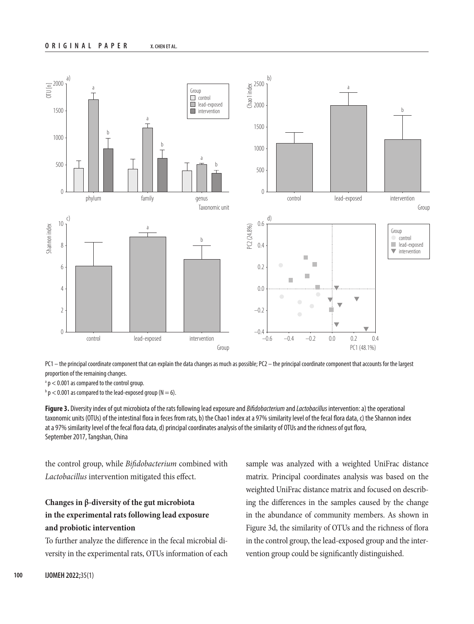

PC1 – the principal coordinate component that can explain the data changes as much as possible; PC2 – the principal coordinate component that accounts for the largest proportion of the remaining changes.

a p < 0.001 as compared to the control group.

 $\Phi$  p  $<$  0.001 as compared to the lead-exposed group (N  $=$  6).

**Figure 3.** Diversity index of gut microbiota of the rats following lead exposure and *Bifidobacterium* and *Lactobacillus* intervention: a) the operational taxonomic units (OTUs) of the intestinal flora in feces from rats, b) the Chao1 index at a 97% similarity level of the fecal flora data, c) the Shannon index at a 97% similarity level of the fecal flora data, d) principal coordinates analysis of the similarity of OTUs and the richness of gut flora, September 2017, Tangshan, China

the control group, while *Bifidobacterium* combined with *Lactobacillus* intervention mitigated this effect.

# **Changes in β-diversity of the gut microbiota in the experimental rats following lead exposure and probiotic intervention**

To further analyze the difference in the fecal microbial diversity in the experimental rats, OTUs information of each sample was analyzed with a weighted UniFrac distance matrix. Principal coordinates analysis was based on the weighted UniFrac distance matrix and focused on describing the differences in the samples caused by the change in the abundance of community members. As shown in Figure 3d, the similarity of OTUs and the richness of flora in the control group, the lead-exposed group and the intervention group could be significantly distinguished.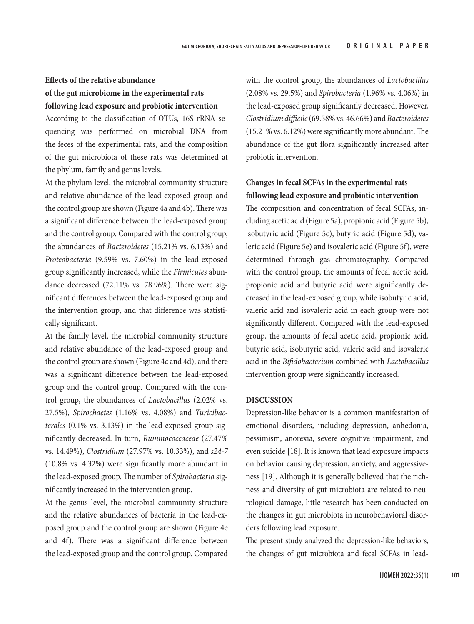# **Effects of the relative abundance of the gut microbiome in the experimental rats following lead exposure and probiotic intervention**

According to the classification of OTUs, 16S rRNA sequencing was performed on microbial DNA from the feces of the experimental rats, and the composition of the gut microbiota of these rats was determined at the phylum, family and genus levels.

At the phylum level, the microbial community structure and relative abundance of the lead-exposed group and the control group are shown (Figure 4a and 4b). There was a significant difference between the lead-exposed group and the control group. Compared with the control group, the abundances of *Bacteroidetes* (15.21% vs. 6.13%) and *Proteobacteria* (9.59% vs. 7.60%) in the lead-exposed group significantly increased, while the *Firmicutes* abundance decreased (72.11% vs. 78.96%). There were significant differences between the lead-exposed group and the intervention group, and that difference was statistically significant.

At the family level, the microbial community structure and relative abundance of the lead-exposed group and the control group are shown (Figure 4c and 4d), and there was a significant difference between the lead-exposed group and the control group. Compared with the control group, the abundances of *Lactobacillus* (2.02% vs. 27.5%), *Spirochaetes* (1.16% vs. 4.08%) and *Turicibacterales* (0.1% vs. 3.13%) in the lead-exposed group significantly decreased. In turn, *Ruminococcaceae* (27.47% vs. 14.49%), *Clostridium* (27.97% vs. 10.33%), and *s24-7*  (10.8% vs. 4.32%) were significantly more abundant in the lead-exposed group. The number of *Spirobacteria* significantly increased in the intervention group.

At the genus level, the microbial community structure and the relative abundances of bacteria in the lead-exposed group and the control group are shown (Figure 4e and 4f). There was a significant difference between the lead-exposed group and the control group. Compared with the control group, the abundances of *Lactobacillus* (2.08% vs. 29.5%) and *Spirobacteria* (1.96% vs. 4.06%) in the lead-exposed group significantly decreased. However, *Clostridium difficile* (69.58% vs. 46.66%) and *Bacteroidetes* (15.21% vs. 6.12%) were significantly more abundant. The abundance of the gut flora significantly increased after probiotic intervention.

# **Changes in fecal SCFAs in the experimental rats following lead exposure and probiotic intervention**

The composition and concentration of fecal SCFAs, including acetic acid (Figure 5a), propionic acid (Figure 5b), isobutyric acid (Figure 5c), butyric acid (Figure 5d), valeric acid (Figure 5e) and isovaleric acid (Figure 5f), were determined through gas chromatography. Compared with the control group, the amounts of fecal acetic acid, propionic acid and butyric acid were significantly decreased in the lead-exposed group, while isobutyric acid, valeric acid and isovaleric acid in each group were not significantly different. Compared with the lead-exposed group, the amounts of fecal acetic acid, propionic acid, butyric acid, isobutyric acid, valeric acid and isovaleric acid in the *Bifidobacterium* combined with *Lactobacillus* intervention group were significantly increased.

#### **DISCUSSION**

Depression-like behavior is a common manifestation of emotional disorders, including depression, anhedonia, pessimism, anorexia, severe cognitive impairment, and even suicide [18]. It is known that lead exposure impacts on behavior causing depression, anxiety, and aggressiveness [19]. Although it is generally believed that the richness and diversity of gut microbiota are related to neurological damage, little research has been conducted on the changes in gut microbiota in neurobehavioral disorders following lead exposure.

The present study analyzed the depression-like behaviors, the changes of gut microbiota and fecal SCFAs in lead-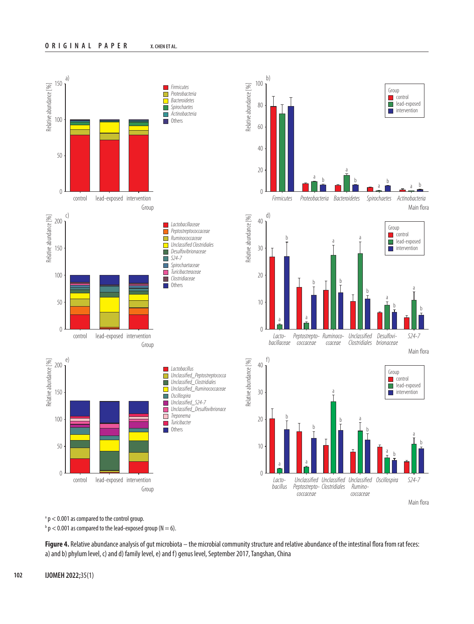

<sup>a</sup> p < 0.001 as compared to the control group.

 $\Phi$  p < 0.001 as compared to the lead-exposed group (N = 6).

**Figure 4.** Relative abundance analysis of gut microbiota – the microbial community structure and relative abundance of the intestinal flora from rat feces: a) and b) phylum level, c) and d) family level, e) and f) genus level, September 2017, Tangshan, China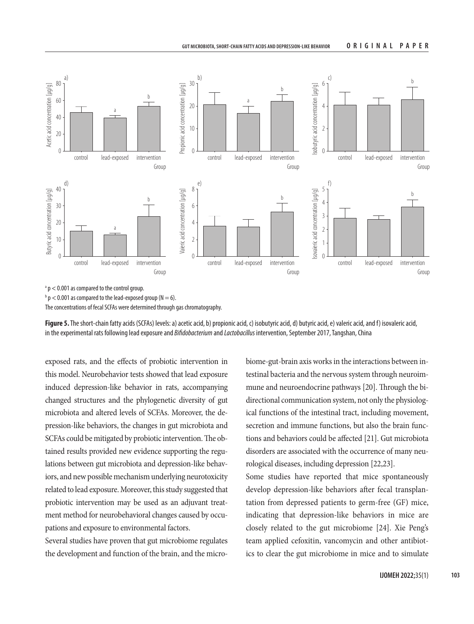

a p < 0.001 as compared to the control group.

 $^{\rm b}$  p  $<$  0.001 as compared to the lead-exposed group (N  $=$  6).

The concentrations of fecal SCFAs were determined through gas chromatography.

**Figure 5.** The short-chain fatty acids (SCFAs) levels: a) acetic acid, b) propionic acid, c) isobutyric acid, d) butyric acid, e) valeric acid, and f) isovaleric acid, in the experimental rats following lead exposure and *Bifidobacterium* and *Lactobacillus* intervention, September 2017, Tangshan, China

exposed rats, and the effects of probiotic intervention in this model. Neurobehavior tests showed that lead exposure induced depression-like behavior in rats, accompanying changed structures and the phylogenetic diversity of gut microbiota and altered levels of SCFAs. Moreover, the depression-like behaviors, the changes in gut microbiota and SCFAs could be mitigated by probiotic intervention. The obtained results provided new evidence supporting the regulations between gut microbiota and depression-like behaviors, and new possible mechanism underlying neurotoxicity related to lead exposure. Moreover, this study suggested that probiotic intervention may be used as an adjuvant treatment method for neurobehavioral changes caused by occupations and exposure to environmental factors.

Several studies have proven that gut microbiome regulates the development and function of the brain, and the microbiome-gut-brain axis works in the interactions between intestinal bacteria and the nervous system through neuroimmune and neuroendocrine pathways [20]. Through the bidirectional communication system, not only the physiological functions of the intestinal tract, including movement, secretion and immune functions, but also the brain functions and behaviors could be affected [21]. Gut microbiota disorders are associated with the occurrence of many neurological diseases, including depression [22,23].

Some studies have reported that mice spontaneously develop depression-like behaviors after fecal transplantation from depressed patients to germ-free (GF) mice, indicating that depression-like behaviors in mice are closely related to the gut microbiome [24]. Xie Peng's team applied cefoxitin, vancomycin and other antibiotics to clear the gut microbiome in mice and to simulate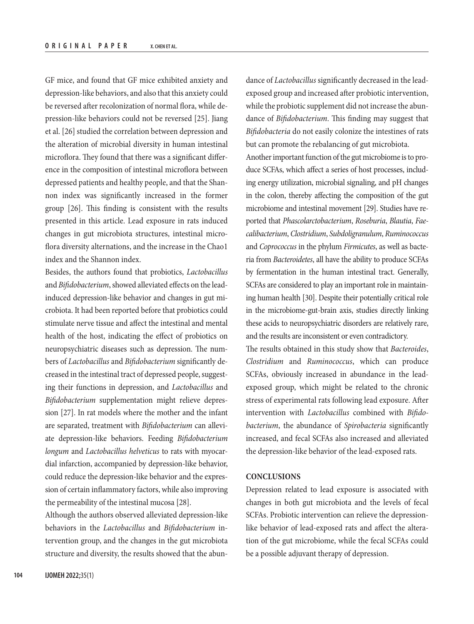GF mice, and found that GF mice exhibited anxiety and depression-like behaviors, and also that this anxiety could be reversed after recolonization of normal flora, while depression-like behaviors could not be reversed [25]. Jiang et al. [26] studied the correlation between depression and the alteration of microbial diversity in human intestinal microflora. They found that there was a significant difference in the composition of intestinal microflora between depressed patients and healthy people, and that the Shannon index was significantly increased in the former group [26]. This finding is consistent with the results presented in this article. Lead exposure in rats induced changes in gut microbiota structures, intestinal microflora diversity alternations, and the increase in the Chao1 index and the Shannon index.

Besides, the authors found that probiotics, *Lactobacillus* and *Bifidobacterium*, showed alleviated effects on the leadinduced depression-like behavior and changes in gut microbiota. It had been reported before that probiotics could stimulate nerve tissue and affect the intestinal and mental health of the host, indicating the effect of probiotics on neuropsychiatric diseases such as depression. The numbers of *Lactobacillus* and *Bifidobacterium* significantly decreased in the intestinal tract of depressed people, suggesting their functions in depression, and *Lactobacillus* and *Bifidobacterium* supplementation might relieve depression [27]. In rat models where the mother and the infant are separated, treatment with *Bifidobacterium* can alleviate depression-like behaviors. Feeding *Bifidobacterium longum* and *Lactobacillus helveticus* to rats with myocardial infarction, accompanied by depression-like behavior, could reduce the depression-like behavior and the expression of certain inflammatory factors, while also improving the permeability of the intestinal mucosa [28].

Although the authors observed alleviated depression-like behaviors in the *Lactobacillus* and *Bifidobacterium* intervention group, and the changes in the gut microbiota structure and diversity, the results showed that the abun-

dance of *Lactobacillus* significantly decreased in the leadexposed group and increased after probiotic intervention, while the probiotic supplement did not increase the abundance of *Bifidobacterium*. This finding may suggest that *Bifidobacteria* do not easily colonize the intestines of rats but can promote the rebalancing of gut microbiota. Another important function of the gut microbiome is to produce SCFAs, which affect a series of host processes, including energy utilization, microbial signaling, and pH changes in the colon, thereby affecting the composition of the gut microbiome and intestinal movement [29]. Studies have reported that *Phascolarctobacterium*, *Roseburia*, *Blautia*, *Faecalibacterium*, *Clostridium*, *Subdoligranulum*, *Ruminococcus* and *Coprococcus* in the phylum *Firmicutes*, as well as bacteria from *Bacteroidetes*, all have the ability to produce SCFAs by fermentation in the human intestinal tract. Generally, SCFAs are considered to play an important role in maintain-

ing human health [30]. Despite their potentially critical role in the microbiome-gut-brain axis, studies directly linking these acids to neuropsychiatric disorders are relatively rare, and the results are inconsistent or even contradictory.

The results obtained in this study show that *Bacteroides*, *Clostridium* and *Ruminococcus*, which can produce SCFAs, obviously increased in abundance in the leadexposed group, which might be related to the chronic stress of experimental rats following lead exposure. After intervention with *Lactobacillus* combined with *Bifidobacterium*, the abundance of *Spirobacteria* significantly increased, and fecal SCFAs also increased and alleviated the depression-like behavior of the lead-exposed rats.

## **CONCLUSIONS**

Depression related to lead exposure is associated with changes in both gut microbiota and the levels of fecal SCFAs. Probiotic intervention can relieve the depressionlike behavior of lead-exposed rats and affect the alteration of the gut microbiome, while the fecal SCFAs could be a possible adjuvant therapy of depression.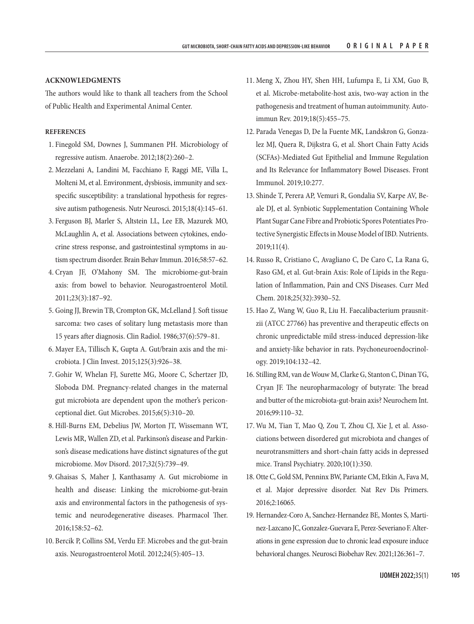#### **ACKNOWLEDGMENTS**

The authors would like to thank all teachers from the School of Public Health and Experimental Animal Center.

#### **REFERENCES**

- 1. Finegold SM, Downes J, Summanen PH. Microbiology of regressive autism. Anaerobe. 2012;18(2):260–2.
- 2. Mezzelani A, Landini M, Facchiano F, Raggi ME, Villa L, Molteni M, et al. Environment, dysbiosis, immunity and sexspecific susceptibility: a translational hypothesis for regressive autism pathogenesis. Nutr Neurosci. 2015;18(4):145–61.
- 3. Ferguson BJ, Marler S, Altstein LL, Lee EB, Mazurek MO, McLaughlin A, et al. Associations between cytokines, endocrine stress response, and gastrointestinal symptoms in autism spectrum disorder. Brain Behav Immun. 2016;58:57–62.
- 4. Cryan JF, O'Mahony SM. The microbiome-gut-brain axis: from bowel to behavior. Neurogastroenterol Motil. 2011;23(3):187–92.
- 5. Going JJ, Brewin TB, Crompton GK, McLelland J. Soft tissue sarcoma: two cases of solitary lung metastasis more than 15 years after diagnosis. Clin Radiol. 1986;37(6):579–81.
- 6. Mayer EA, Tillisch K, Gupta A. Gut/brain axis and the microbiota. J Clin Invest. 2015;125(3):926–38.
- 7. Gohir W, Whelan FJ, Surette MG, Moore C, Schertzer JD, Sloboda DM. Pregnancy-related changes in the maternal gut microbiota are dependent upon the mother's periconceptional diet. Gut Microbes. 2015;6(5):310–20.
- 8. Hill-Burns EM, Debelius JW, Morton JT, Wissemann WT, Lewis MR, Wallen ZD, et al. Parkinson's disease and Parkinson's disease medications have distinct signatures of the gut microbiome. Mov Disord. 2017;32(5):739–49.
- 9. Ghaisas S, Maher J, Kanthasamy A. Gut microbiome in health and disease: Linking the microbiome-gut-brain axis and environmental factors in the pathogenesis of systemic and neurodegenerative diseases. Pharmacol Ther. 2016;158:52–62.
- 10. Bercik P, Collins SM, Verdu EF. Microbes and the gut-brain axis. Neurogastroenterol Motil. 2012;24(5):405–13.
- 11. Meng X, Zhou HY, Shen HH, Lufumpa E, Li XM, Guo B, et al. Microbe-metabolite-host axis, two-way action in the pathogenesis and treatment of human autoimmunity. Autoimmun Rev. 2019;18(5):455–75.
- 12. Parada Venegas D, De la Fuente MK, Landskron G, Gonzalez MJ, Quera R, Dijkstra G, et al. Short Chain Fatty Acids (SCFAs)-Mediated Gut Epithelial and Immune Regulation and Its Relevance for Inflammatory Bowel Diseases. Front Immunol. 2019;10:277.
- 13. Shinde T, Perera AP, Vemuri R, Gondalia SV, Karpe AV, Beale DJ, et al. Synbiotic Supplementation Containing Whole Plant Sugar Cane Fibre and Probiotic Spores Potentiates Protective Synergistic Effects in Mouse Model of IBD. Nutrients. 2019;11(4).
- 14. Russo R, Cristiano C, Avagliano C, De Caro C, La Rana G, Raso GM, et al. Gut-brain Axis: Role of Lipids in the Regulation of Inflammation, Pain and CNS Diseases. Curr Med Chem. 2018;25(32):3930–52.
- 15. Hao Z, Wang W, Guo R, Liu H. Faecalibacterium prausnitzii (ATCC 27766) has preventive and therapeutic effects on chronic unpredictable mild stress-induced depression-like and anxiety-like behavior in rats. Psychoneuroendocrinology. 2019;104:132–42.
- 16. Stilling RM, van de Wouw M, Clarke G, Stanton C, Dinan TG, Cryan JF. The neuropharmacology of butyrate: The bread and butter of the microbiota-gut-brain axis? Neurochem Int. 2016;99:110–32.
- 17. Wu M, Tian T, Mao Q, Zou T, Zhou CJ, Xie J, et al. Associations between disordered gut microbiota and changes of neurotransmitters and short-chain fatty acids in depressed mice. Transl Psychiatry. 2020;10(1):350.
- 18. Otte C, Gold SM, Penninx BW, Pariante CM, Etkin A, Fava M, et al. Major depressive disorder. Nat Rev Dis Primers. 2016;2:16065.
- 19. Hernandez-Coro A, Sanchez-Hernandez BE, Montes S, Martinez-Lazcano JC, Gonzalez-Guevara E, Perez-Severiano F. Alterations in gene expression due to chronic lead exposure induce behavioral changes. Neurosci Biobehav Rev. 2021;126:361–7.